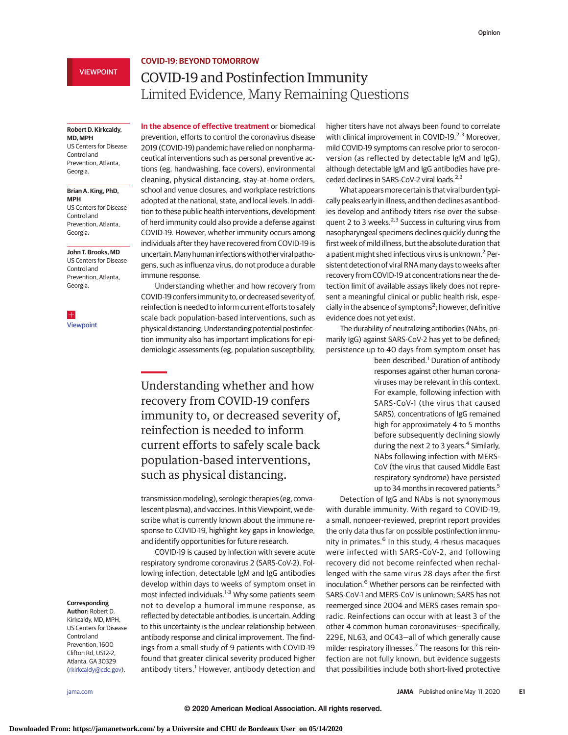# **COVID-19: BEYOND TOMORROW**

# VIEWPOINT

# COVID-19 and Postinfection Immunity Limited Evidence, Many Remaining Questions

## **Robert D. Kirkcaldy, MD, MPH**

US Centers for Disease Control and Prevention, Atlanta, Georgia.

## **Brian A. King, PhD, MPH**

US Centers for Disease Control and Prevention, Atlanta, Georgia.

#### **John T. Brooks, MD**

US Centers for Disease Control and Prevention, Atlanta, Georgia.

 $\pm$ [Viewpoint](https://jamanetwork.com/journals/jama/fullarticle/10.1001/jama.2020.7712?utm_campaign=articlePDF%26utm_medium=articlePDFlink%26utm_source=articlePDF%26utm_content=jama.2020.7869)

**In the absence of effective treatment** or biomedical prevention, efforts to control the coronavirus disease 2019 (COVID-19) pandemic have relied on nonpharmaceutical interventions such as personal preventive actions (eg, handwashing, face covers), environmental cleaning, physical distancing, stay-at-home orders, school and venue closures, and workplace restrictions adopted at the national, state, and local levels. In addition to these public health interventions, development of herd immunity could also provide a defense against COVID-19. However, whether immunity occurs among individuals after they have recovered from COVID-19 is uncertain. Many human infections with other viral pathogens, such as influenza virus, do not produce a durable immune response.

Understanding whether and how recovery from COVID-19 confers immunity to, or decreased severity of, reinfection is needed to inform current efforts to safely scale back population-based interventions, such as physical distancing. Understanding potential postinfection immunity also has important implications for epidemiologic assessments (eg, population susceptibility,

Understanding whether and how recovery from COVID-19 confers immunity to, or decreased severity of, reinfection is needed to inform current efforts to safely scale back population-based interventions, such as physical distancing.

transmission modeling), serologic therapies (eg, convalescent plasma), and vaccines. In this Viewpoint, we describe what is currently known about the immune response to COVID-19, highlight key gaps in knowledge, and identify opportunities for future research.

COVID-19 is caused by infection with severe acute respiratory syndrome coronavirus 2 (SARS-CoV-2). Following infection, detectable IgM and IgG antibodies develop within days to weeks of symptom onset in most infected individuals.<sup>1-3</sup> Why some patients seem not to develop a humoral immune response, as reflected by detectable antibodies, is uncertain. Adding to this uncertainty is the unclear relationship between antibody response and clinical improvement. The findings from a small study of 9 patients with COVID-19 found that greater clinical severity produced higher antibody titers.<sup>1</sup> However, antibody detection and

higher titers have not always been found to correlate with clinical improvement in COVID-19.<sup>2,3</sup> Moreover, mild COVID-19 symptoms can resolve prior to seroconversion (as reflected by detectable IgM and IgG), although detectable IgM and IgG antibodies have preceded declines in SARS-CoV-2 viral loads.<sup>2,3</sup>

What appears more certain is that viral burden typically peaks early in illness, and then declines as antibodies develop and antibody titers rise over the subsequent 2 to 3 weeks. $2,3$  Success in culturing virus from nasopharyngeal specimens declines quickly during the first week of mild illness, but the absolute duration that a patient might shed infectious virus is unknown.<sup>2</sup> Persistent detection of viral RNA many days to weeks after recovery from COVID-19 at concentrations near the detection limit of available assays likely does not represent a meaningful clinical or public health risk, especially in the absence of symptoms<sup>2</sup>; however, definitive evidence does not yet exist.

The durability of neutralizing antibodies (NAbs, primarily IgG) against SARS-CoV-2 has yet to be defined; persistence up to 40 days from symptom onset has

> been described.<sup>1</sup> Duration of antibody responses against other human coronaviruses may be relevant in this context. For example, following infection with SARS-CoV-1 (the virus that caused SARS), concentrations of IgG remained high for approximately 4 to 5 months before subsequently declining slowly during the next 2 to 3 years.<sup>4</sup> Similarly, NAbs following infection with MERS-CoV (the virus that caused Middle East respiratory syndrome) have persisted up to 34 months in recovered patients.<sup>5</sup>

Detection of IgG and NAbs is not synonymous with durable immunity. With regard to COVID-19, a small, nonpeer-reviewed, preprint report provides the only data thus far on possible postinfection immunity in primates.<sup>6</sup> In this study, 4 rhesus macaques were infected with SARS-CoV-2, and following recovery did not become reinfected when rechallenged with the same virus 28 days after the first inoculation.<sup>6</sup> Whether persons can be reinfected with SARS-CoV-1 and MERS-CoV is unknown; SARS has not reemerged since 2004 and MERS cases remain sporadic. Reinfections can occur with at least 3 of the other 4 common human coronaviruses—specifically, 229E, NL63, and OC43—all of which generally cause milder respiratory illnesses.<sup>7</sup> The reasons for this reinfection are not fully known, but evidence suggests that possibilities include both short-lived protective

#### **Corresponding Author:** Robert D.

Kirkcaldy, MD, MPH, US Centers for Disease Control and Prevention, 1600 Clifton Rd, US12-2, Atlanta, GA 30329 [\(rkirkcaldy@cdc.gov\)](mailto:rkirkcaldy@cdc.gov).